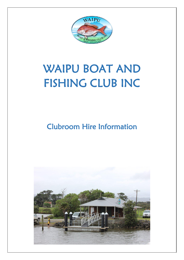

# WAIPU BOAT AND FISHING CLUB INC

### Clubroom Hire Information

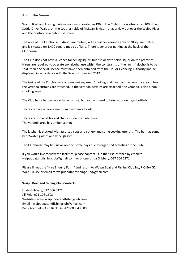#### About the Venue

Waipu Boat and Fishing Club Inc was incorporated in 1963. The Clubhouse is situated at 100 Nova Scotia Drive, Waipu, on the southern side of McLean Bridge. It has a view out over the Waipu River and the pontoon is a public use space.

The area of the Clubhouse is 44 square metres, with a further veranda area of 30 square metres, and is situated on 1,400 square metres of land. There is generous parking at the back of the Clubhouse.

The Club does not have a licence for selling liquor, but it is okay to serve liquor on the premises. Hirers are required to operate any alcohol use within the constraints of the law. If alcohol is to be sold, then a Special Licence must have been obtained from the Liquor Licencing Authority and be displayed in accordance with the Sale of Liquor Act 2012.

The inside of the Clubhouse is a non-smoking area. Smoking is allowed on the veranda area unless the veranda curtains are attached. If the veranda curtains are attached, the veranda is also a nonsmoking area.

The Club has a barbecue available for use, but you will need to bring your own gas bottle/s.

There are two separate men's and women's toilets.

There are some tables and chairs inside the clubhouse. The veranda area has timber seating.

The kitchen is stocked with assorted cups and cutlery and some cooking utensils. The bar has some beer/water glasses and wine glasses.

The Clubhouse may be unavailable on some days due to organised activities of the Club.

If you would like to view the facilities, please contact us in the first instance by email to waipuboatandfishingclub@gmail.com, or phone Linda Glibbery, 027 666 6371.

Please fill out the "Hire Enquiry Form" and return to Waipu Boat and Fishing Club Inc, P O Box 52, Waipu 0545, or email to waipuboatandfishingclub@gmail.com.

#### **Waipu Boat and Fishing Club Contacts:**

Linda Glibbery, 027 666 6371 Jill Reid, 021 108 1603 Website – www.waipuboatandfishingclub.com Email – waipuboatandfishingclub@gmail.com Bank Account – ANZ Bank 06 0479 0006438 00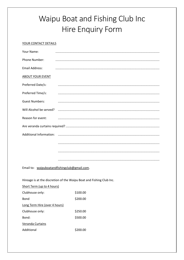## Waipu Boat and Fishing Club Inc Hire Enquiry Form

#### YOUR CONTACT DETAILS

| Your Name:              |  |  |
|-------------------------|--|--|
| Phone Number:           |  |  |
| <b>Email Address:</b>   |  |  |
| <b>ABOUT YOUR EVENT</b> |  |  |
| Preferred Date/s:       |  |  |
| Preferred Time/s:       |  |  |
| <b>Guest Numbers:</b>   |  |  |
| Will Alcohol be served? |  |  |
| Reason for event:       |  |  |
|                         |  |  |
|                         |  |  |
|                         |  |  |
|                         |  |  |
|                         |  |  |

Email to: waipuboatandfishingclub@gmail.com.

Hireage is at the discretion of the Waipu Boat and Fishing Club Inc.

| Short Term (up to 4 hours)    |          |
|-------------------------------|----------|
| Clubhouse only:               | \$100.00 |
| <b>Bond</b>                   | \$200.00 |
| Long Term Hire (over 4 hours) |          |
| Clubhouse only:               | \$250.00 |
| Bond:                         | \$500.00 |
| Veranda Curtains              |          |
| Additional                    | S200.00  |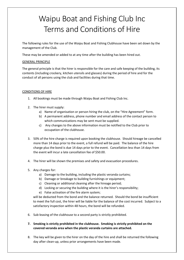### Waipu Boat and Fishing Club Inc Terms and Conditions of Hire

The following rules for the use of the Waipu Boat and Fishing Clubhouse have been set down by the management of the Club.

These may be amended or added to at any time after the building has been hired out.

### GENERAL PRINCIPLE

The general principle is that the hirer is responsible for the care and safe keeping of the building, its contents (including crockery, kitchen utensils and glasses) during the period of hire and for the conduct of all persons using the club and facilities during that time.

### CONDITIONS OF HIRE

- 1. All bookings must be made through Waipu Boat and Fishing Club Inc.
- 2. The hirer must supply:
	- a) Name of organisation or person hiring the club, on the "Hire Agreement" form.
	- b) A permanent address, phone number and email address of the contact person to which communications may be sent must be supplied.
	- c) Any changes to the above information must be notified to the Club prior to occupation of the clubhouse.
- 3. 50% of the hire charge is required upon booking the clubhouse. Should hireage be cancelled more than 14 days prior to the event, a full refund will be paid. The balance of the hire charge plus the bond is due 14 days prior to the event. Cancellation less than 14 days from the event will incur a late cancellation fee of \$50.00.
- 4. The hirer will be shown the premises and safety and evacuation procedures.
- 5. Any charges for:
	- a) Damage to the building, including the plastic veranda curtains;
	- b) Damage or breakage to building furnishings or equipment;
	- c) Cleaning or additional cleaning after the hireage period;
	- d) Locking or securing the building where it is the hirer's responsibility;
	- e) False activation of the fire alarm system;

will be deducted from the bond and the balance returned. Should the bond be insufficient to meet the full cost, the hirer will be liable for the balance of the cost incurred. Subject to a satisfactory inspection within 48 hours, the bond will be refunded.

- 6. Sub-leasing of the clubhouse to a second party is strictly prohibited.
- **7. Smoking is strictly prohibited in the clubhouse. Smoking is strictly prohibited on the covered veranda area when the plastic veranda curtains are attached.**
- 8. The key will be given to the hirer on the day of the hire and shall be returned the following day after clean-up, unless prior arrangements have been made.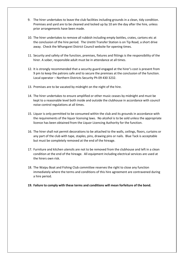- 9. The hirer undertakes to leave the club facilities including grounds in a clean, tidy condition. Premises and yard are to be cleaned and locked up by 10 am the day after the hire, unless prior arrangements have been made.
- 10. The hirer undertakes to remove all rubbish including empty bottles, crates, cartons etc at the conclusion of the hire period. The Uretiti Transfer Station is on Tip Road, a short drive away. Check the Whangarei District Council website for opening times.
- 11. Security and safety of the function, premises, fixtures and fittings is the responsibility of the hirer. A sober, responsible adult must be in attendance at all times.
- 12. It is strongly recommended that a security guard engaged at the hirer's cost is present from 9 pm to keep the patrons safe and to secure the premises at the conclusion of the function. Local operator – Northern Districts Security Ph 09 430 3232.
- 13. Premises are to be vacated by midnight on the night of the hire.
- 14. The hirer undertakes to ensure amplified or other music ceases by midnight and must be kept to a reasonable level both inside and outside the clubhouse in accordance with council noise control regulations at all times.
- 15. Liquor is only permitted to be consumed within the club and its grounds in accordance with the requirements of the liquor licensing laws. No alcohol is to be sold unless the appropriate licence has been obtained from the Liquor Licencing Authority for the function.
- 16. The hirer shall not permit decorations to be attached to the walls, ceilings, floors, curtains or any part of the club with tape, staples, pins, drawing pins or nails. Blue Tack is acceptable but must be completely removed at the end of the hireage.
- 17. Furniture and kitchen utensils are not to be removed from the clubhouse and left in a clean condition at the end of the hireage. All equipment including electrical services are used at the hirers own risk.
- 18. The Waipu Boat and Fishing Club committee reserves the right to close any function immediately where the terms and conditions of this hire agreement are contravened during a hire period.
- **19. Failure to comply with these terms and conditions will mean forfeiture of the bond.**